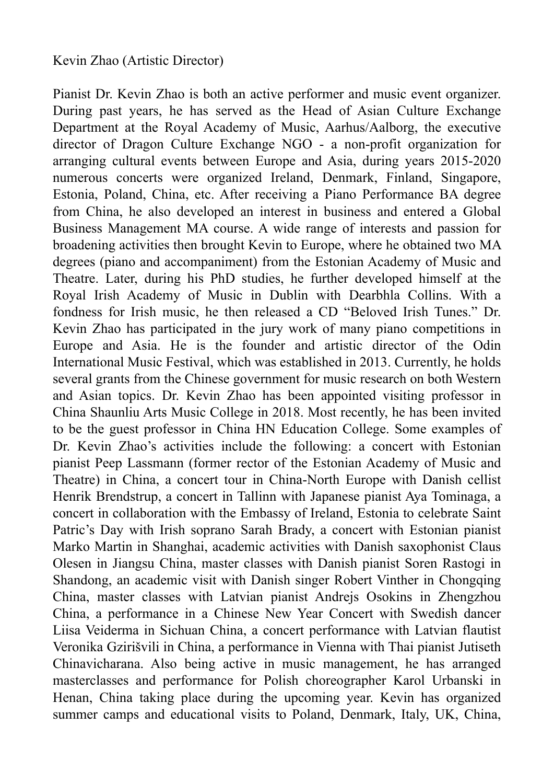Pianist Dr. Kevin Zhao is both an active performer and music event organizer. During past years, he has served as the Head of Asian Culture Exchange Department at the Royal Academy of Music, Aarhus/Aalborg, the executive director of Dragon Culture Exchange NGO - a non-profit organization for arranging cultural events between Europe and Asia, during years 2015-2020 numerous concerts were organized Ireland, Denmark, Finland, Singapore, Estonia, Poland, China, etc. After receiving a Piano Performance BA degree from China, he also developed an interest in business and entered a Global Business Management MA course. A wide range of interests and passion for broadening activities then brought Kevin to Europe, where he obtained two MA degrees (piano and accompaniment) from the Estonian Academy of Music and Theatre. Later, during his PhD studies, he further developed himself at the Royal Irish Academy of Music in Dublin with Dearbhla Collins. With a fondness for Irish music, he then released a CD "Beloved Irish Tunes." Dr. Kevin Zhao has participated in the jury work of many piano competitions in Europe and Asia. He is the founder and artistic director of the Odin International Music Festival, which was established in 2013. Currently, he holds several grants from the Chinese government for music research on both Western and Asian topics. Dr. Kevin Zhao has been appointed visiting professor in China Shaunliu Arts Music College in 2018. Most recently, he has been invited to be the guest professor in China HN Education College. Some examples of Dr. Kevin Zhao's activities include the following: a concert with Estonian pianist Peep Lassmann (former rector of the Estonian Academy of Music and Theatre) in China, a concert tour in China-North Europe with Danish cellist Henrik Brendstrup, a concert in Tallinn with Japanese pianist Aya Tominaga, a concert in collaboration with the Embassy of Ireland, Estonia to celebrate Saint Patric's Day with Irish soprano Sarah Brady, a concert with Estonian pianist Marko Martin in Shanghai, academic activities with Danish saxophonist Claus Olesen in Jiangsu China, master classes with Danish pianist Soren Rastogi in Shandong, an academic visit with Danish singer Robert Vinther in Chongqing China, master classes with Latvian pianist Andrejs Osokins in Zhengzhou China, a performance in a Chinese New Year Concert with Swedish dancer Liisa Veiderma in Sichuan China, a concert performance with Latvian flautist Veronika Gzirišvili in China, a performance in Vienna with Thai pianist Jutiseth Chinavicharana. Also being active in music management, he has arranged masterclasses and performance for Polish choreographer Karol Urbanski in Henan, China taking place during the upcoming year. Kevin has organized summer camps and educational visits to Poland, Denmark, Italy, UK, China,